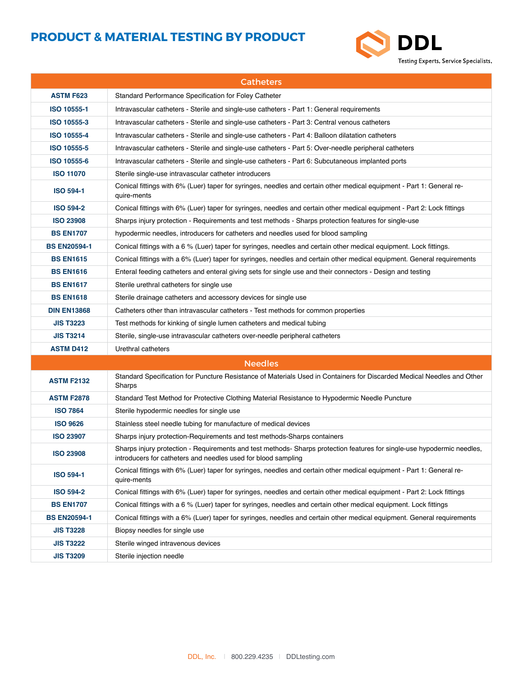

| <b>Catheters</b>    |                                                                                                                                                                                          |
|---------------------|------------------------------------------------------------------------------------------------------------------------------------------------------------------------------------------|
| <b>ASTM F623</b>    | Standard Performance Specification for Foley Catheter                                                                                                                                    |
| ISO 10555-1         | Intravascular catheters - Sterile and single-use catheters - Part 1: General requirements                                                                                                |
| ISO 10555-3         | Intravascular catheters - Sterile and single-use catheters - Part 3: Central venous catheters                                                                                            |
| ISO 10555-4         | Intravascular catheters - Sterile and single-use catheters - Part 4: Balloon dilatation catheters                                                                                        |
| ISO 10555-5         | Intravascular catheters - Sterile and single-use catheters - Part 5: Over-needle peripheral catheters                                                                                    |
| ISO 10555-6         | Intravascular catheters - Sterile and single-use catheters - Part 6: Subcutaneous implanted ports                                                                                        |
| <b>ISO 11070</b>    | Sterile single-use intravascular catheter introducers                                                                                                                                    |
| <b>ISO 594-1</b>    | Conical fittings with 6% (Luer) taper for syringes, needles and certain other medical equipment - Part 1: General re-<br>quire-ments                                                     |
| <b>ISO 594-2</b>    | Conical fittings with 6% (Luer) taper for syringes, needles and certain other medical equipment - Part 2: Lock fittings                                                                  |
| <b>ISO 23908</b>    | Sharps injury protection - Requirements and test methods - Sharps protection features for single-use                                                                                     |
| <b>BS EN1707</b>    | hypodermic needles, introducers for catheters and needles used for blood sampling                                                                                                        |
| <b>BS EN20594-1</b> | Conical fittings with a 6 % (Luer) taper for syringes, needles and certain other medical equipment. Lock fittings.                                                                       |
| <b>BS EN1615</b>    | Conical fittings with a 6% (Luer) taper for syringes, needles and certain other medical equipment. General requirements                                                                  |
| <b>BS EN1616</b>    | Enteral feeding catheters and enteral giving sets for single use and their connectors - Design and testing                                                                               |
| <b>BS EN1617</b>    | Sterile urethral catheters for single use                                                                                                                                                |
| <b>BS EN1618</b>    | Sterile drainage catheters and accessory devices for single use                                                                                                                          |
| <b>DIN EN13868</b>  | Catheters other than intravascular catheters - Test methods for common properties                                                                                                        |
| <b>JIS T3223</b>    | Test methods for kinking of single lumen catheters and medical tubing                                                                                                                    |
| <b>JIS T3214</b>    | Sterile, single-use intravascular catheters over-needle peripheral catheters                                                                                                             |
| <b>ASTM D412</b>    | Urethral catheters                                                                                                                                                                       |
|                     | <b>Needles</b>                                                                                                                                                                           |
| <b>ASTM F2132</b>   | Standard Specification for Puncture Resistance of Materials Used in Containers for Discarded Medical Needles and Other<br>Sharps                                                         |
| <b>ASTM F2878</b>   | Standard Test Method for Protective Clothing Material Resistance to Hypodermic Needle Puncture                                                                                           |
| <b>ISO 7864</b>     | Sterile hypodermic needles for single use                                                                                                                                                |
| <b>ISO 9626</b>     | Stainless steel needle tubing for manufacture of medical devices                                                                                                                         |
| <b>ISO 23907</b>    | Sharps injury protection-Requirements and test methods-Sharps containers                                                                                                                 |
| <b>ISO 23908</b>    | Sharps injury protection - Requirements and test methods- Sharps protection features for single-use hypodermic needles,<br>introducers for catheters and needles used for blood sampling |
| <b>ISO 594-1</b>    | Conical fittings with 6% (Luer) taper for syringes, needles and certain other medical equipment - Part 1: General re-<br>quire-ments                                                     |
| <b>ISO 594-2</b>    | Conical fittings with 6% (Luer) taper for syringes, needles and certain other medical equipment - Part 2: Lock fittings                                                                  |
| <b>BS EN1707</b>    | Conical fittings with a 6 % (Luer) taper for syringes, needles and certain other medical equipment. Lock fittings                                                                        |
| <b>BS EN20594-1</b> | Conical fittings with a 6% (Luer) taper for syringes, needles and certain other medical equipment. General requirements                                                                  |
| <b>JIS T3228</b>    | Biopsy needles for single use                                                                                                                                                            |
| <b>JIS T3222</b>    | Sterile winged intravenous devices                                                                                                                                                       |
| <b>JIS T3209</b>    | Sterile injection needle                                                                                                                                                                 |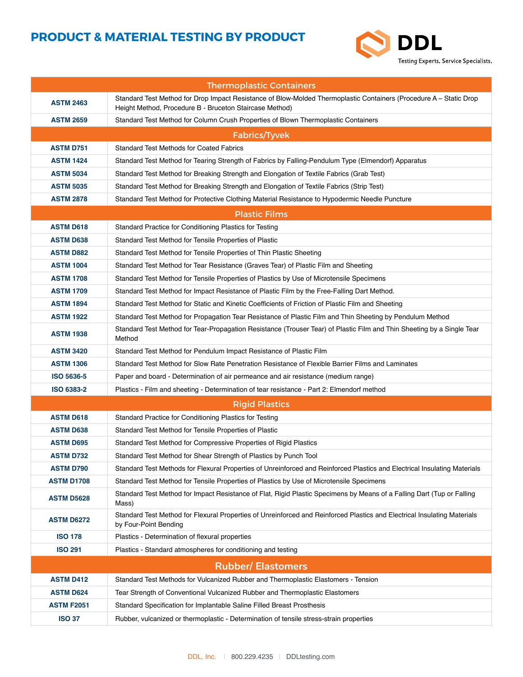

| <b>Thermoplastic Containers</b> |                                                                                                                                                                               |  |
|---------------------------------|-------------------------------------------------------------------------------------------------------------------------------------------------------------------------------|--|
| <b>ASTM 2463</b>                | Standard Test Method for Drop Impact Resistance of Blow-Molded Thermoplastic Containers (Procedure A - Static Drop<br>Height Method, Procedure B - Bruceton Staircase Method) |  |
| <b>ASTM 2659</b>                | Standard Test Method for Column Crush Properties of Blown Thermoplastic Containers                                                                                            |  |
|                                 | Fabrics/Tyvek                                                                                                                                                                 |  |
| <b>ASTM D751</b>                | <b>Standard Test Methods for Coated Fabrics</b>                                                                                                                               |  |
| <b>ASTM 1424</b>                | Standard Test Method for Tearing Strength of Fabrics by Falling-Pendulum Type (Elmendorf) Apparatus                                                                           |  |
| <b>ASTM 5034</b>                | Standard Test Method for Breaking Strength and Elongation of Textile Fabrics (Grab Test)                                                                                      |  |
| <b>ASTM 5035</b>                | Standard Test Method for Breaking Strength and Elongation of Textile Fabrics (Strip Test)                                                                                     |  |
| <b>ASTM 2878</b>                | Standard Test Method for Protective Clothing Material Resistance to Hypodermic Needle Puncture                                                                                |  |
|                                 | <b>Plastic Films</b>                                                                                                                                                          |  |
| <b>ASTM D618</b>                | Standard Practice for Conditioning Plastics for Testing                                                                                                                       |  |
| <b>ASTM D638</b>                | Standard Test Method for Tensile Properties of Plastic                                                                                                                        |  |
| <b>ASTM D882</b>                | Standard Test Method for Tensile Properties of Thin Plastic Sheeting                                                                                                          |  |
| <b>ASTM 1004</b>                | Standard Test Method for Tear Resistance (Graves Tear) of Plastic Film and Sheeting                                                                                           |  |
| <b>ASTM 1708</b>                | Standard Test Method for Tensile Properties of Plastics by Use of Microtensile Specimens                                                                                      |  |
| <b>ASTM 1709</b>                | Standard Test Method for Impact Resistance of Plastic Film by the Free-Falling Dart Method.                                                                                   |  |
| <b>ASTM 1894</b>                | Standard Test Method for Static and Kinetic Coefficients of Friction of Plastic Film and Sheeting                                                                             |  |
| <b>ASTM 1922</b>                | Standard Test Method for Propagation Tear Resistance of Plastic Film and Thin Sheeting by Pendulum Method                                                                     |  |
| <b>ASTM 1938</b>                | Standard Test Method for Tear-Propagation Resistance (Trouser Tear) of Plastic Film and Thin Sheeting by a Single Tear<br>Method                                              |  |
| <b>ASTM 3420</b>                | Standard Test Method for Pendulum Impact Resistance of Plastic Film                                                                                                           |  |
| <b>ASTM 1306</b>                | Standard Test Method for Slow Rate Penetration Resistance of Flexible Barrier Films and Laminates                                                                             |  |
| <b>ISO 5636-5</b>               | Paper and board - Determination of air permeance and air resistance (medium range)                                                                                            |  |
| <b>ISO 6383-2</b>               | Plastics - Film and sheeting - Determination of tear resistance - Part 2: Elmendorf method                                                                                    |  |
|                                 | <b>Rigid Plastics</b>                                                                                                                                                         |  |
| <b>ASTM D618</b>                | Standard Practice for Conditioning Plastics for Testing                                                                                                                       |  |
| <b>ASTM D638</b>                | Standard Test Method for Tensile Properties of Plastic                                                                                                                        |  |
| <b>ASTM D695</b>                | Standard Test Method for Compressive Properties of Rigid Plastics                                                                                                             |  |
| <b>ASTM D732</b>                | Standard Test Method for Shear Strength of Plastics by Punch Tool                                                                                                             |  |
| <b>ASTM D790</b>                | Standard Test Methods for Flexural Properties of Unreinforced and Reinforced Plastics and Electrical Insulating Materials                                                     |  |
| <b>ASTM D1708</b>               | Standard Test Method for Tensile Properties of Plastics by Use of Microtensile Specimens                                                                                      |  |
| <b>ASTM D5628</b>               | Standard Test Method for Impact Resistance of Flat, Rigid Plastic Specimens by Means of a Falling Dart (Tup or Falling<br>Mass)                                               |  |
| <b>ASTM D6272</b>               | Standard Test Method for Flexural Properties of Unreinforced and Reinforced Plastics and Electrical Insulating Materials<br>by Four-Point Bending                             |  |
| <b>ISO 178</b>                  | Plastics - Determination of flexural properties                                                                                                                               |  |
| <b>ISO 291</b>                  | Plastics - Standard atmospheres for conditioning and testing                                                                                                                  |  |
| <b>Rubber/ Elastomers</b>       |                                                                                                                                                                               |  |
| <b>ASTM D412</b>                | Standard Test Methods for Vulcanized Rubber and Thermoplastic Elastomers - Tension                                                                                            |  |
| <b>ASTM D624</b>                | Tear Strength of Conventional Vulcanized Rubber and Thermoplastic Elastomers                                                                                                  |  |
| <b>ASTM F2051</b>               | Standard Specification for Implantable Saline Filled Breast Prosthesis                                                                                                        |  |
| <b>ISO 37</b>                   | Rubber, vulcanized or thermoplastic - Determination of tensile stress-strain properties                                                                                       |  |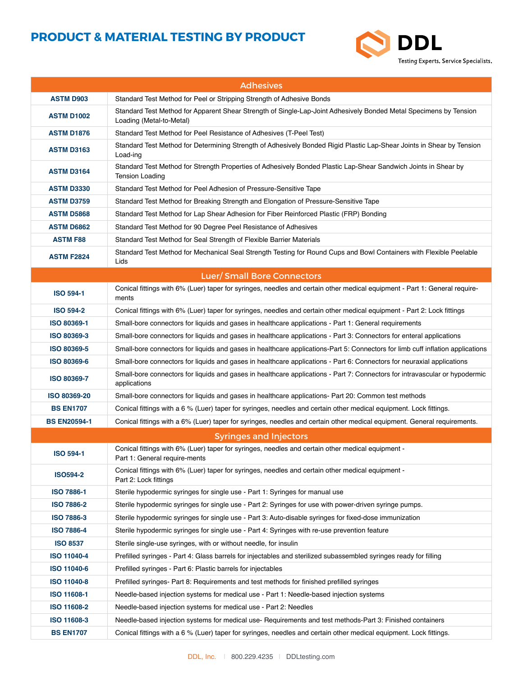

| <b>Adhesives</b>                  |                                                                                                                                               |  |
|-----------------------------------|-----------------------------------------------------------------------------------------------------------------------------------------------|--|
| <b>ASTM D903</b>                  | Standard Test Method for Peel or Stripping Strength of Adhesive Bonds                                                                         |  |
| <b>ASTM D1002</b>                 | Standard Test Method for Apparent Shear Strength of Single-Lap-Joint Adhesively Bonded Metal Specimens by Tension<br>Loading (Metal-to-Metal) |  |
| <b>ASTM D1876</b>                 | Standard Test Method for Peel Resistance of Adhesives (T-Peel Test)                                                                           |  |
| <b>ASTM D3163</b>                 | Standard Test Method for Determining Strength of Adhesively Bonded Rigid Plastic Lap-Shear Joints in Shear by Tension<br>Load-ing             |  |
| <b>ASTM D3164</b>                 | Standard Test Method for Strength Properties of Adhesively Bonded Plastic Lap-Shear Sandwich Joints in Shear by<br><b>Tension Loading</b>     |  |
| <b>ASTM D3330</b>                 | Standard Test Method for Peel Adhesion of Pressure-Sensitive Tape                                                                             |  |
| <b>ASTM D3759</b>                 | Standard Test Method for Breaking Strength and Elongation of Pressure-Sensitive Tape                                                          |  |
| <b>ASTM D5868</b>                 | Standard Test Method for Lap Shear Adhesion for Fiber Reinforced Plastic (FRP) Bonding                                                        |  |
| <b>ASTM D6862</b>                 | Standard Test Method for 90 Degree Peel Resistance of Adhesives                                                                               |  |
| <b>ASTM F88</b>                   | Standard Test Method for Seal Strength of Flexible Barrier Materials                                                                          |  |
| <b>ASTM F2824</b>                 | Standard Test Method for Mechanical Seal Strength Testing for Round Cups and Bowl Containers with Flexible Peelable<br>Lids                   |  |
| <b>Luer/Small Bore Connectors</b> |                                                                                                                                               |  |
| <b>ISO 594-1</b>                  | Conical fittings with 6% (Luer) taper for syringes, needles and certain other medical equipment - Part 1: General require-<br>ments           |  |
| <b>ISO 594-2</b>                  | Conical fittings with 6% (Luer) taper for syringes, needles and certain other medical equipment - Part 2: Lock fittings                       |  |
| ISO 80369-1                       | Small-bore connectors for liquids and gases in healthcare applications - Part 1: General requirements                                         |  |
| ISO 80369-3                       | Small-bore connectors for liquids and gases in healthcare applications - Part 3: Connectors for enteral applications                          |  |
| ISO 80369-5                       | Small-bore connectors for liquids and gases in healthcare applications-Part 5: Connectors for limb cuff inflation applications                |  |
| <b>ISO 80369-6</b>                | Small-bore connectors for liquids and gases in healthcare applications - Part 6: Connectors for neuraxial applications                        |  |
| <b>ISO 80369-7</b>                | Small-bore connectors for liquids and gases in healthcare applications - Part 7: Connectors for intravascular or hypodermic<br>applications   |  |
| ISO 80369-20                      | Small-bore connectors for liquids and gases in healthcare applications- Part 20: Common test methods                                          |  |
| <b>BS EN1707</b>                  | Conical fittings with a 6 % (Luer) taper for syringes, needles and certain other medical equipment. Lock fittings.                            |  |
| <b>BS EN20594-1</b>               | Conical fittings with a 6% (Luer) taper for syringes, needles and certain other medical equipment. General requirements.                      |  |
|                                   | <b>Syringes and Injectors</b>                                                                                                                 |  |
| <b>ISO 594-1</b>                  | Conical fittings with 6% (Luer) taper for syringes, needles and certain other medical equipment -<br>Part 1: General require-ments            |  |
| <b>ISO594-2</b>                   | Conical fittings with 6% (Luer) taper for syringes, needles and certain other medical equipment -<br>Part 2: Lock fittings                    |  |
| <b>ISO 7886-1</b>                 | Sterile hypodermic syringes for single use - Part 1: Syringes for manual use                                                                  |  |
| <b>ISO 7886-2</b>                 | Sterile hypodermic syringes for single use - Part 2: Syringes for use with power-driven syringe pumps.                                        |  |
| <b>ISO 7886-3</b>                 | Sterile hypodermic syringes for single use - Part 3: Auto-disable syringes for fixed-dose immunization                                        |  |
| <b>ISO 7886-4</b>                 | Sterile hypodermic syringes for single use - Part 4: Syringes with re-use prevention feature                                                  |  |
| <b>ISO 8537</b>                   | Sterile single-use syringes, with or without needle, for insulin                                                                              |  |
| ISO 11040-4                       | Prefilled syringes - Part 4: Glass barrels for injectables and sterilized subassembled syringes ready for filling                             |  |
| <b>ISO 11040-6</b>                | Prefilled syringes - Part 6: Plastic barrels for injectables                                                                                  |  |
| <b>ISO 11040-8</b>                | Prefilled syringes- Part 8: Requirements and test methods for finished prefilled syringes                                                     |  |
| ISO 11608-1                       | Needle-based injection systems for medical use - Part 1: Needle-based injection systems                                                       |  |
| <b>ISO 11608-2</b>                | Needle-based injection systems for medical use - Part 2: Needles                                                                              |  |
| ISO 11608-3                       | Needle-based injection systems for medical use-Requirements and test methods-Part 3: Finished containers                                      |  |
| <b>BS EN1707</b>                  | Conical fittings with a 6 % (Luer) taper for syringes, needles and certain other medical equipment. Lock fittings.                            |  |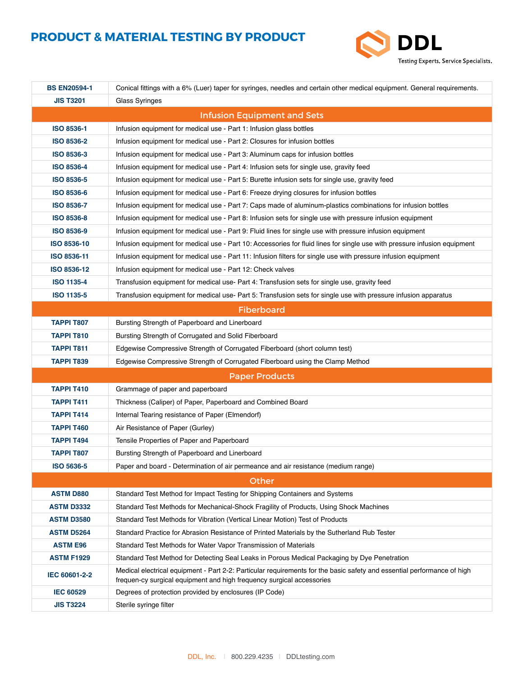

| <b>BS EN20594-1</b> | Conical fittings with a 6% (Luer) taper for syringes, needles and certain other medical equipment. General requirements.                                                                         |
|---------------------|--------------------------------------------------------------------------------------------------------------------------------------------------------------------------------------------------|
| <b>JIS T3201</b>    | Glass Syringes                                                                                                                                                                                   |
|                     | <b>Infusion Equipment and Sets</b>                                                                                                                                                               |
| <b>ISO 8536-1</b>   | Infusion equipment for medical use - Part 1: Infusion glass bottles                                                                                                                              |
| <b>ISO 8536-2</b>   | Infusion equipment for medical use - Part 2: Closures for infusion bottles                                                                                                                       |
| ISO 8536-3          | Infusion equipment for medical use - Part 3: Aluminum caps for infusion bottles                                                                                                                  |
| <b>ISO 8536-4</b>   | Infusion equipment for medical use - Part 4: Infusion sets for single use, gravity feed                                                                                                          |
| <b>ISO 8536-5</b>   | Infusion equipment for medical use - Part 5: Burette infusion sets for single use, gravity feed                                                                                                  |
| <b>ISO 8536-6</b>   | Infusion equipment for medical use - Part 6: Freeze drying closures for infusion bottles                                                                                                         |
| <b>ISO 8536-7</b>   | Infusion equipment for medical use - Part 7: Caps made of aluminum-plastics combinations for infusion bottles                                                                                    |
| <b>ISO 8536-8</b>   | Infusion equipment for medical use - Part 8: Infusion sets for single use with pressure infusion equipment                                                                                       |
| <b>ISO 8536-9</b>   | Infusion equipment for medical use - Part 9: Fluid lines for single use with pressure infusion equipment                                                                                         |
| ISO 8536-10         | Infusion equipment for medical use - Part 10: Accessories for fluid lines for single use with pressure infusion equipment                                                                        |
| ISO 8536-11         | Infusion equipment for medical use - Part 11: Infusion filters for single use with pressure infusion equipment                                                                                   |
| ISO 8536-12         | Infusion equipment for medical use - Part 12: Check valves                                                                                                                                       |
| <b>ISO 1135-4</b>   | Transfusion equipment for medical use- Part 4: Transfusion sets for single use, gravity feed                                                                                                     |
| <b>ISO 1135-5</b>   | Transfusion equipment for medical use- Part 5: Transfusion sets for single use with pressure infusion apparatus                                                                                  |
|                     | <b>Fiberboard</b>                                                                                                                                                                                |
| <b>TAPPI T807</b>   | Bursting Strength of Paperboard and Linerboard                                                                                                                                                   |
| <b>TAPPI T810</b>   | Bursting Strength of Corrugated and Solid Fiberboard                                                                                                                                             |
| <b>TAPPI T811</b>   | Edgewise Compressive Strength of Corrugated Fiberboard (short column test)                                                                                                                       |
| <b>TAPPI T839</b>   | Edgewise Compressive Strength of Corrugated Fiberboard using the Clamp Method                                                                                                                    |
|                     | <b>Paper Products</b>                                                                                                                                                                            |
| <b>TAPPI T410</b>   | Grammage of paper and paperboard                                                                                                                                                                 |
| <b>TAPPI T411</b>   | Thickness (Caliper) of Paper, Paperboard and Combined Board                                                                                                                                      |
| TAPPI T414          | Internal Tearing resistance of Paper (Elmendorf)                                                                                                                                                 |
| <b>TAPPI T460</b>   | Air Resistance of Paper (Gurley)                                                                                                                                                                 |
| <b>TAPPI T494</b>   | Tensile Properties of Paper and Paperboard                                                                                                                                                       |
| <b>TAPPI T807</b>   | Bursting Strength of Paperboard and Linerboard                                                                                                                                                   |
| ISO 5636-5          | Paper and board - Determination of air permeance and air resistance (medium range)                                                                                                               |
|                     | Other                                                                                                                                                                                            |
| <b>ASTM D880</b>    | Standard Test Method for Impact Testing for Shipping Containers and Systems                                                                                                                      |
| <b>ASTM D3332</b>   | Standard Test Methods for Mechanical-Shock Fragility of Products, Using Shock Machines                                                                                                           |
| <b>ASTM D3580</b>   | Standard Test Methods for Vibration (Vertical Linear Motion) Test of Products                                                                                                                    |
| <b>ASTM D5264</b>   | Standard Practice for Abrasion Resistance of Printed Materials by the Sutherland Rub Tester                                                                                                      |
| <b>ASTM E96</b>     | Standard Test Methods for Water Vapor Transmission of Materials                                                                                                                                  |
| <b>ASTM F1929</b>   | Standard Test Method for Detecting Seal Leaks in Porous Medical Packaging by Dye Penetration                                                                                                     |
| IEC 60601-2-2       | Medical electrical equipment - Part 2-2: Particular requirements for the basic safety and essential performance of high<br>frequen-cy surgical equipment and high frequency surgical accessories |
| <b>IEC 60529</b>    | Degrees of protection provided by enclosures (IP Code)                                                                                                                                           |
| <b>JIS T3224</b>    | Sterile syringe filter                                                                                                                                                                           |